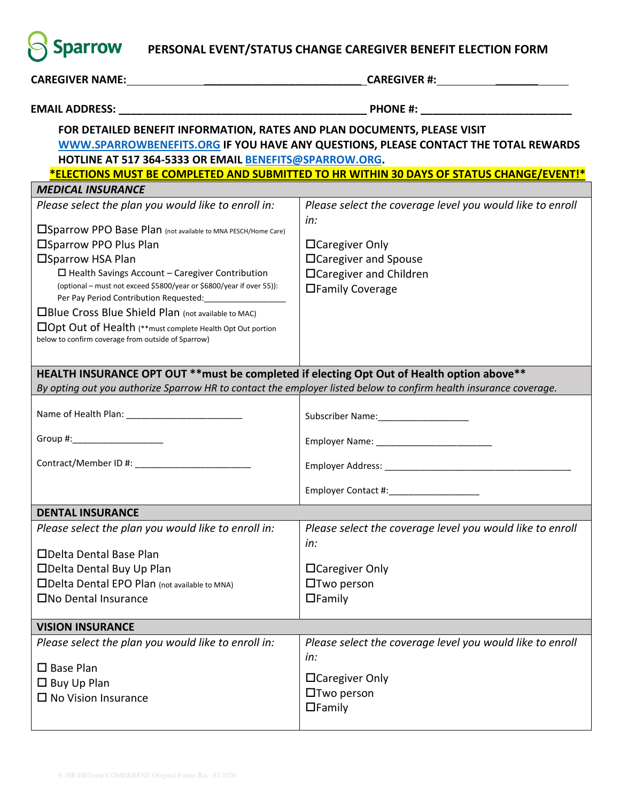**Sparrow** PERSONAL EVENT/STATUS CHANGE CAREGIVER BENEFIT ELECTION FORM

| FOR DETAILED BENEFIT INFORMATION, RATES AND PLAN DOCUMENTS, PLEASE VISIT<br>WWW.SPARROWBENEFITS.ORG IF YOU HAVE ANY QUESTIONS, PLEASE CONTACT THE TOTAL REWARDS |                                                                  |  |  |  |  |  |  |  |
|-----------------------------------------------------------------------------------------------------------------------------------------------------------------|------------------------------------------------------------------|--|--|--|--|--|--|--|
| HOTLINE AT 517 364-5333 OR EMAIL BENEFITS@SPARROW.ORG.                                                                                                          |                                                                  |  |  |  |  |  |  |  |
| *ELECTIONS MUST BE COMPLETED AND SUBMITTED TO HR WITHIN 30 DAYS OF STATUS CHANGE/EVENT!*                                                                        |                                                                  |  |  |  |  |  |  |  |
| <b>MEDICAL INSURANCE</b>                                                                                                                                        |                                                                  |  |  |  |  |  |  |  |
| Please select the plan you would like to enroll in:                                                                                                             | Please select the coverage level you would like to enroll<br>in: |  |  |  |  |  |  |  |
| □ Sparrow PPO Base Plan (not available to MNA PESCH/Home Care)                                                                                                  |                                                                  |  |  |  |  |  |  |  |
| □Sparrow PPO Plus Plan                                                                                                                                          | $\Box$ Caregiver Only                                            |  |  |  |  |  |  |  |
| □Sparrow HSA Plan                                                                                                                                               | □ Caregiver and Spouse                                           |  |  |  |  |  |  |  |
| $\Box$ Health Savings Account - Caregiver Contribution                                                                                                          | □Caregiver and Children                                          |  |  |  |  |  |  |  |
| (optional – must not exceed \$5800/year or \$6800/year if over 55)):<br>Per Pay Period Contribution Requested: ____________________                             | □Family Coverage                                                 |  |  |  |  |  |  |  |
| □Blue Cross Blue Shield Plan (not available to MAC)                                                                                                             |                                                                  |  |  |  |  |  |  |  |
| $\Box$ Opt Out of Health (**must complete Health Opt Out portion                                                                                                |                                                                  |  |  |  |  |  |  |  |
| below to confirm coverage from outside of Sparrow)                                                                                                              |                                                                  |  |  |  |  |  |  |  |
|                                                                                                                                                                 |                                                                  |  |  |  |  |  |  |  |
| HEALTH INSURANCE OPT OUT ** must be completed if electing Opt Out of Health option above**                                                                      |                                                                  |  |  |  |  |  |  |  |
| By opting out you authorize Sparrow HR to contact the employer listed below to confirm health insurance coverage.                                               |                                                                  |  |  |  |  |  |  |  |
|                                                                                                                                                                 |                                                                  |  |  |  |  |  |  |  |
|                                                                                                                                                                 |                                                                  |  |  |  |  |  |  |  |
| Group #:______________________                                                                                                                                  |                                                                  |  |  |  |  |  |  |  |
|                                                                                                                                                                 |                                                                  |  |  |  |  |  |  |  |
|                                                                                                                                                                 | Employer Contact #:_____________________                         |  |  |  |  |  |  |  |
| <b>DENTAL INSURANCE</b>                                                                                                                                         |                                                                  |  |  |  |  |  |  |  |
| Please select the plan you would like to enroll in:                                                                                                             | Please select the coverage level you would like to enroll<br>in: |  |  |  |  |  |  |  |
| □Delta Dental Base Plan                                                                                                                                         |                                                                  |  |  |  |  |  |  |  |
| □Delta Dental Buy Up Plan                                                                                                                                       | □ Caregiver Only                                                 |  |  |  |  |  |  |  |
| □Delta Dental EPO Plan (not available to MNA)                                                                                                                   | $\Box$ Two person                                                |  |  |  |  |  |  |  |
| □No Dental Insurance                                                                                                                                            | $\Box$ Family                                                    |  |  |  |  |  |  |  |
| <b>VISION INSURANCE</b>                                                                                                                                         |                                                                  |  |  |  |  |  |  |  |
| Please select the plan you would like to enroll in:                                                                                                             | Please select the coverage level you would like to enroll        |  |  |  |  |  |  |  |
|                                                                                                                                                                 | in:                                                              |  |  |  |  |  |  |  |
| $\square$ Base Plan                                                                                                                                             |                                                                  |  |  |  |  |  |  |  |
| $\square$ Buy Up Plan                                                                                                                                           | □ Caregiver Only                                                 |  |  |  |  |  |  |  |
| $\square$ No Vision Insurance                                                                                                                                   | $\Box$ Two person                                                |  |  |  |  |  |  |  |
|                                                                                                                                                                 | $\Box$ Family                                                    |  |  |  |  |  |  |  |